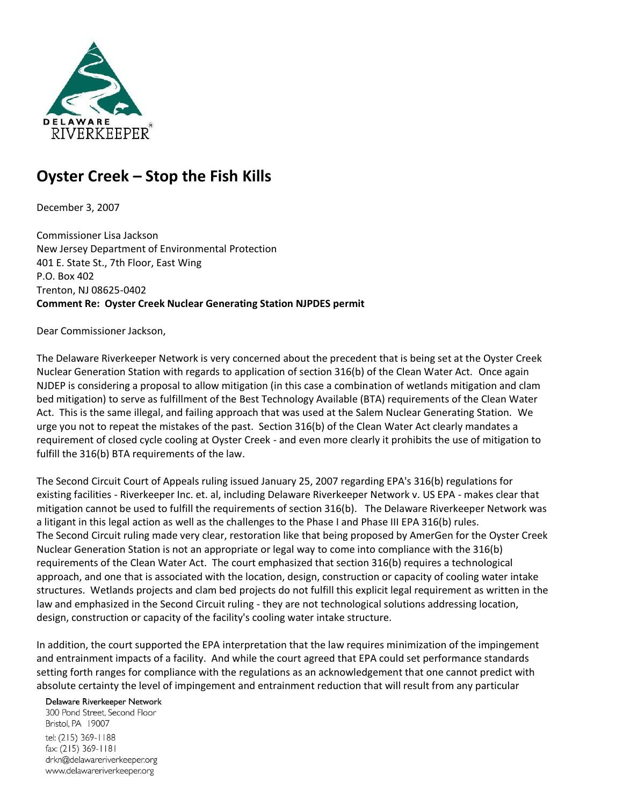

## **Oyster Creek – Stop the Fish Kills**

December 3, 2007

Commissioner Lisa Jackson New Jersey Department of Environmental Protection 401 E. State St., 7th Floor, East Wing P.O. Box 402 Trenton, NJ 08625-0402 **Comment Re: Oyster Creek Nuclear Generating Station NJPDES permit** 

Dear Commissioner Jackson,

The Delaware Riverkeeper Network is very concerned about the precedent that is being set at the Oyster Creek Nuclear Generation Station with regards to application of section 316(b) of the Clean Water Act. Once again NJDEP is considering a proposal to allow mitigation (in this case a combination of wetlands mitigation and clam bed mitigation) to serve as fulfillment of the Best Technology Available (BTA) requirements of the Clean Water Act. This is the same illegal, and failing approach that was used at the Salem Nuclear Generating Station. We urge you not to repeat the mistakes of the past. Section 316(b) of the Clean Water Act clearly mandates a requirement of closed cycle cooling at Oyster Creek - and even more clearly it prohibits the use of mitigation to fulfill the 316(b) BTA requirements of the law.

The Second Circuit Court of Appeals ruling issued January 25, 2007 regarding EPA's 316(b) regulations for existing facilities - Riverkeeper Inc. et. al, including Delaware Riverkeeper Network v. US EPA - makes clear that mitigation cannot be used to fulfill the requirements of section 316(b). The Delaware Riverkeeper Network was a litigant in this legal action as well as the challenges to the Phase I and Phase III EPA 316(b) rules. The Second Circuit ruling made very clear, restoration like that being proposed by AmerGen for the Oyster Creek Nuclear Generation Station is not an appropriate or legal way to come into compliance with the 316(b) requirements of the Clean Water Act. The court emphasized that section 316(b) requires a technological approach, and one that is associated with the location, design, construction or capacity of cooling water intake structures. Wetlands projects and clam bed projects do not fulfill this explicit legal requirement as written in the law and emphasized in the Second Circuit ruling - they are not technological solutions addressing location, design, construction or capacity of the facility's cooling water intake structure.

In addition, the court supported the EPA interpretation that the law requires minimization of the impingement and entrainment impacts of a facility. And while the court agreed that EPA could set performance standards setting forth ranges for compliance with the regulations as an acknowledgement that one cannot predict with absolute certainty the level of impingement and entrainment reduction that will result from any particular

Delaware Riverkeeper Network

300 Pond Street, Second Floor Bristol, PA 19007 tel: (215) 369-1188 fax: (215) 369-1181 drkn@delawareriverkeeper.org

www.delawareriverkeeper.org